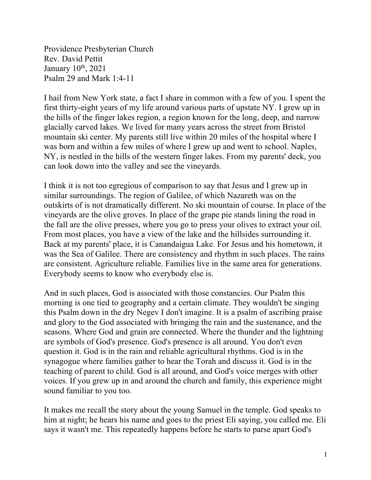Providence Presbyterian Church Rev. David Pettit January  $10^{th}$ ,  $2021$ Psalm 29 and Mark 1:4-11

I hail from New York state, a fact I share in common with a few of you. I spent the first thirty-eight years of my life around various parts of upstate NY. I grew up in the hills of the finger lakes region, a region known for the long, deep, and narrow glacially carved lakes. We lived for many years across the street from Bristol mountain ski center. My parents still live within 20 miles of the hospital where I was born and within a few miles of where I grew up and went to school. Naples, NY, is nestled in the hills of the western finger lakes. From my parents' deck, you can look down into the valley and see the vineyards.

I think it is not too egregious of comparison to say that Jesus and I grew up in similar surroundings. The region of Galilee, of which Nazareth was on the outskirts of is not dramatically different. No ski mountain of course. In place of the vineyards are the olive groves. In place of the grape pie stands lining the road in the fall are the olive presses, where you go to press your olives to extract your oil. From most places, you have a view of the lake and the hillsides surrounding it. Back at my parents' place, it is Canandaigua Lake. For Jesus and his hometown, it was the Sea of Galilee. There are consistency and rhythm in such places. The rains are consistent. Agriculture reliable. Families live in the same area for generations. Everybody seems to know who everybody else is.

And in such places, God is associated with those constancies. Our Psalm this morning is one tied to geography and a certain climate. They wouldn't be singing this Psalm down in the dry Negev I don't imagine. It is a psalm of ascribing praise and glory to the God associated with bringing the rain and the sustenance, and the seasons. Where God and grain are connected. Where the thunder and the lightning are symbols of God's presence. God's presence is all around. You don't even question it. God is in the rain and reliable agricultural rhythms. God is in the synagogue where families gather to hear the Torah and discuss it. God is in the teaching of parent to child. God is all around, and God's voice merges with other voices. If you grew up in and around the church and family, this experience might sound familiar to you too.

It makes me recall the story about the young Samuel in the temple. God speaks to him at night; he hears his name and goes to the priest Eli saying, you called me. Eli says it wasn't me. This repeatedly happens before he starts to parse apart God's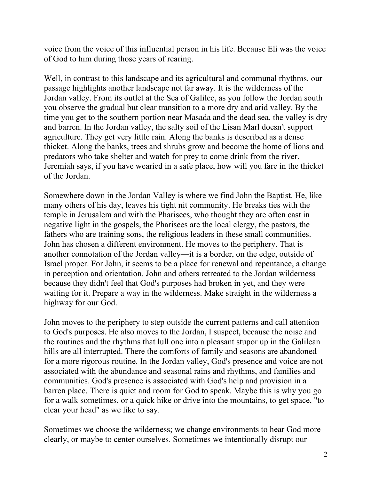voice from the voice of this influential person in his life. Because Eli was the voice of God to him during those years of rearing.

Well, in contrast to this landscape and its agricultural and communal rhythms, our passage highlights another landscape not far away. It is the wilderness of the Jordan valley. From its outlet at the Sea of Galilee, as you follow the Jordan south you observe the gradual but clear transition to a more dry and arid valley. By the time you get to the southern portion near Masada and the dead sea, the valley is dry and barren. In the Jordan valley, the salty soil of the Lisan Marl doesn't support agriculture. They get very little rain. Along the banks is described as a dense thicket. Along the banks, trees and shrubs grow and become the home of lions and predators who take shelter and watch for prey to come drink from the river. Jeremiah says, if you have wearied in a safe place, how will you fare in the thicket of the Jordan.

Somewhere down in the Jordan Valley is where we find John the Baptist. He, like many others of his day, leaves his tight nit community. He breaks ties with the temple in Jerusalem and with the Pharisees, who thought they are often cast in negative light in the gospels, the Pharisees are the local clergy, the pastors, the fathers who are training sons, the religious leaders in these small communities. John has chosen a different environment. He moves to the periphery. That is another connotation of the Jordan valley—it is a border, on the edge, outside of Israel proper. For John, it seems to be a place for renewal and repentance, a change in perception and orientation. John and others retreated to the Jordan wilderness because they didn't feel that God's purposes had broken in yet, and they were waiting for it. Prepare a way in the wilderness. Make straight in the wilderness a highway for our God.

John moves to the periphery to step outside the current patterns and call attention to God's purposes. He also moves to the Jordan, I suspect, because the noise and the routines and the rhythms that lull one into a pleasant stupor up in the Galilean hills are all interrupted. There the comforts of family and seasons are abandoned for a more rigorous routine. In the Jordan valley, God's presence and voice are not associated with the abundance and seasonal rains and rhythms, and families and communities. God's presence is associated with God's help and provision in a barren place. There is quiet and room for God to speak. Maybe this is why you go for a walk sometimes, or a quick hike or drive into the mountains, to get space, "to clear your head" as we like to say.

Sometimes we choose the wilderness; we change environments to hear God more clearly, or maybe to center ourselves. Sometimes we intentionally disrupt our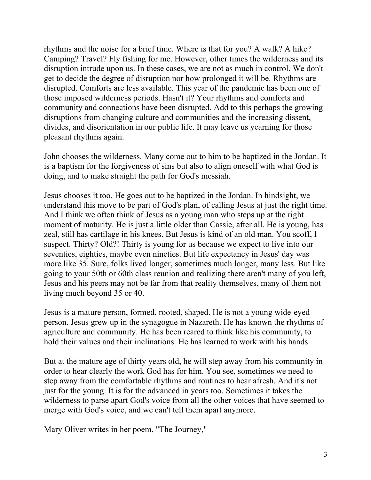rhythms and the noise for a brief time. Where is that for you? A walk? A hike? Camping? Travel? Fly fishing for me. However, other times the wilderness and its disruption intrude upon us. In these cases, we are not as much in control. We don't get to decide the degree of disruption nor how prolonged it will be. Rhythms are disrupted. Comforts are less available. This year of the pandemic has been one of those imposed wilderness periods. Hasn't it? Your rhythms and comforts and community and connections have been disrupted. Add to this perhaps the growing disruptions from changing culture and communities and the increasing dissent, divides, and disorientation in our public life. It may leave us yearning for those pleasant rhythms again.

John chooses the wilderness. Many come out to him to be baptized in the Jordan. It is a baptism for the forgiveness of sins but also to align oneself with what God is doing, and to make straight the path for God's messiah.

Jesus chooses it too. He goes out to be baptized in the Jordan. In hindsight, we understand this move to be part of God's plan, of calling Jesus at just the right time. And I think we often think of Jesus as a young man who steps up at the right moment of maturity. He is just a little older than Cassie, after all. He is young, has zeal, still has cartilage in his knees. But Jesus is kind of an old man. You scoff, I suspect. Thirty? Old?! Thirty is young for us because we expect to live into our seventies, eighties, maybe even nineties. But life expectancy in Jesus' day was more like 35. Sure, folks lived longer, sometimes much longer, many less. But like going to your 50th or 60th class reunion and realizing there aren't many of you left, Jesus and his peers may not be far from that reality themselves, many of them not living much beyond 35 or 40.

Jesus is a mature person, formed, rooted, shaped. He is not a young wide-eyed person. Jesus grew up in the synagogue in Nazareth. He has known the rhythms of agriculture and community. He has been reared to think like his community, to hold their values and their inclinations. He has learned to work with his hands.

But at the mature age of thirty years old, he will step away from his community in order to hear clearly the work God has for him. You see, sometimes we need to step away from the comfortable rhythms and routines to hear afresh. And it's not just for the young. It is for the advanced in years too. Sometimes it takes the wilderness to parse apart God's voice from all the other voices that have seemed to merge with God's voice, and we can't tell them apart anymore.

Mary Oliver writes in her poem, "The Journey,"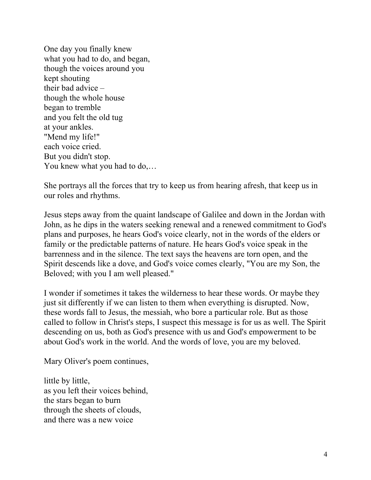One day you finally knew what you had to do, and began, though the voices around you kept shouting their bad advice – though the whole house began to tremble and you felt the old tug at your ankles. "Mend my life!" each voice cried. But you didn't stop. You knew what you had to do,…

She portrays all the forces that try to keep us from hearing afresh, that keep us in our roles and rhythms.

Jesus steps away from the quaint landscape of Galilee and down in the Jordan with John, as he dips in the waters seeking renewal and a renewed commitment to God's plans and purposes, he hears God's voice clearly, not in the words of the elders or family or the predictable patterns of nature. He hears God's voice speak in the barrenness and in the silence. The text says the heavens are torn open, and the Spirit descends like a dove, and God's voice comes clearly, "You are my Son, the Beloved; with you I am well pleased."

I wonder if sometimes it takes the wilderness to hear these words. Or maybe they just sit differently if we can listen to them when everything is disrupted. Now, these words fall to Jesus, the messiah, who bore a particular role. But as those called to follow in Christ's steps, I suspect this message is for us as well. The Spirit descending on us, both as God's presence with us and God's empowerment to be about God's work in the world. And the words of love, you are my beloved.

Mary Oliver's poem continues,

little by little, as you left their voices behind, the stars began to burn through the sheets of clouds, and there was a new voice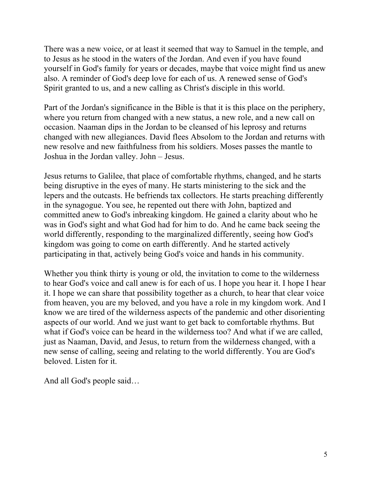There was a new voice, or at least it seemed that way to Samuel in the temple, and to Jesus as he stood in the waters of the Jordan. And even if you have found yourself in God's family for years or decades, maybe that voice might find us anew also. A reminder of God's deep love for each of us. A renewed sense of God's Spirit granted to us, and a new calling as Christ's disciple in this world.

Part of the Jordan's significance in the Bible is that it is this place on the periphery, where you return from changed with a new status, a new role, and a new call on occasion. Naaman dips in the Jordan to be cleansed of his leprosy and returns changed with new allegiances. David flees Absolom to the Jordan and returns with new resolve and new faithfulness from his soldiers. Moses passes the mantle to Joshua in the Jordan valley. John – Jesus.

Jesus returns to Galilee, that place of comfortable rhythms, changed, and he starts being disruptive in the eyes of many. He starts ministering to the sick and the lepers and the outcasts. He befriends tax collectors. He starts preaching differently in the synagogue. You see, he repented out there with John, baptized and committed anew to God's inbreaking kingdom. He gained a clarity about who he was in God's sight and what God had for him to do. And he came back seeing the world differently, responding to the marginalized differently, seeing how God's kingdom was going to come on earth differently. And he started actively participating in that, actively being God's voice and hands in his community.

Whether you think thirty is young or old, the invitation to come to the wilderness to hear God's voice and call anew is for each of us. I hope you hear it. I hope I hear it. I hope we can share that possibility together as a church, to hear that clear voice from heaven, you are my beloved, and you have a role in my kingdom work. And I know we are tired of the wilderness aspects of the pandemic and other disorienting aspects of our world. And we just want to get back to comfortable rhythms. But what if God's voice can be heard in the wilderness too? And what if we are called, just as Naaman, David, and Jesus, to return from the wilderness changed, with a new sense of calling, seeing and relating to the world differently. You are God's beloved. Listen for it.

And all God's people said…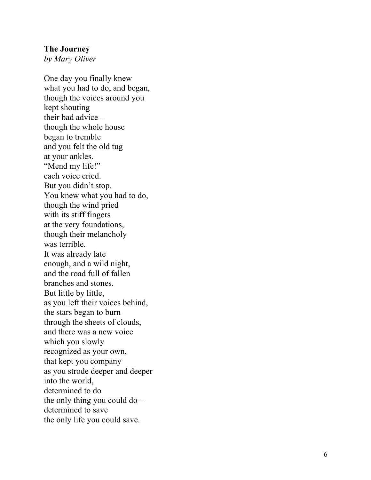### **The Journey**

*by Mary Oliver*

One day you finally knew what you had to do, and began, though the voices around you kept shouting their bad advice – though the whole house began to tremble and you felt the old tug at your ankles. "Mend my life!" each voice cried. But you didn't stop. You knew what you had to do, though the wind pried with its stiff fingers at the very foundations, though their melancholy was terrible. It was already late enough, and a wild night, and the road full of fallen branches and stones. But little by little, as you left their voices behind, the stars began to burn through the sheets of clouds, and there was a new voice which you slowly recognized as your own, that kept you company as you strode deeper and deeper into the world, determined to do the only thing you could do – determined to save the only life you could save.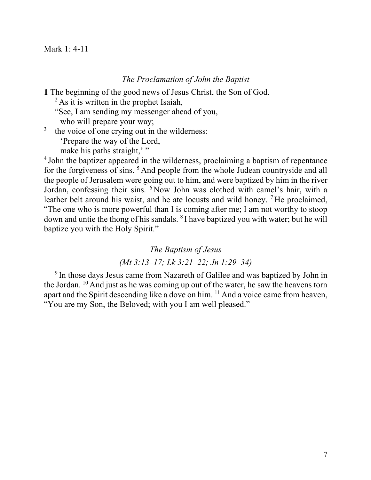### Mark 1: 4-11

### *The Proclamation of John the Baptist*

**1** The beginning of the good news of Jesus Christ, the Son of God.

 $^{2}$ As it is written in the prophet Isaiah,

"See, I am sending my messenger ahead of you,

who will prepare your way;

<sup>3</sup> the voice of one crying out in the wilderness:

'Prepare the way of the Lord,

make his paths straight,"

<sup>4</sup> John the baptizer appeared in the wilderness, proclaiming a baptism of repentance for the forgiveness of sins.<sup>5</sup> And people from the whole Judean countryside and all the people of Jerusalem were going out to him, and were baptized by him in the river Jordan, confessing their sins. 6 Now John was clothed with camel's hair, with a leather belt around his waist, and he ate locusts and wild honey. <sup>7</sup> He proclaimed, "The one who is more powerful than I is coming after me; I am not worthy to stoop down and untie the thong of his sandals. 8 I have baptized you with water; but he will baptize you with the Holy Spirit."

### *The Baptism of Jesus*

# *(Mt 3:13–17; Lk 3:21–22; Jn 1:29–34)*

<sup>9</sup> In those days Jesus came from Nazareth of Galilee and was baptized by John in the Jordan. 10 And just as he was coming up out of the water, he saw the heavens torn apart and the Spirit descending like a dove on him. 11 And a voice came from heaven, "You are my Son, the Beloved; with you I am well pleased."